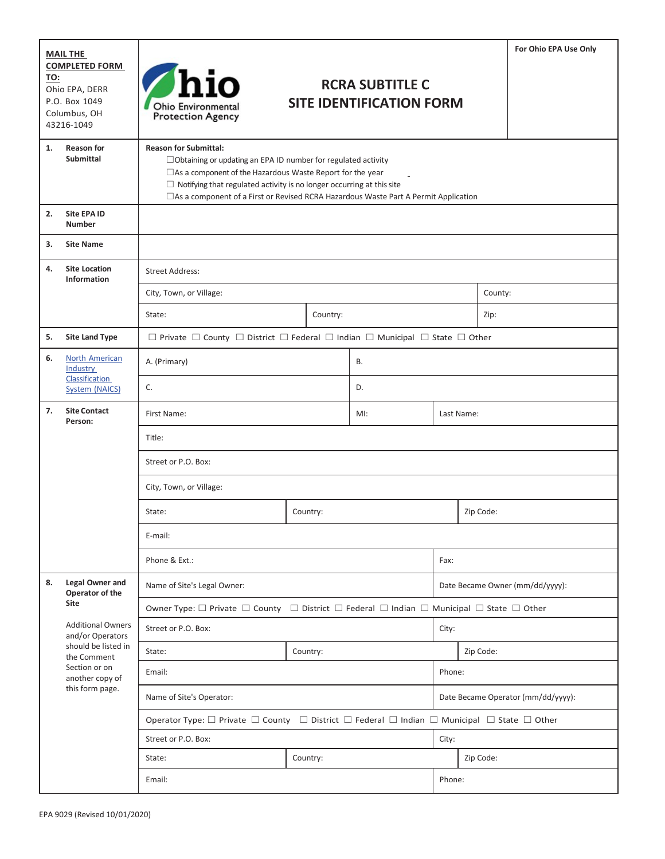| <b>MAIL THE</b>                                                                               |                                                                                                                                           |                                                                                                                                                                                                                                                                                                                                         |          |                                                           |           |                                    | For Ohio EPA Use Only |  |
|-----------------------------------------------------------------------------------------------|-------------------------------------------------------------------------------------------------------------------------------------------|-----------------------------------------------------------------------------------------------------------------------------------------------------------------------------------------------------------------------------------------------------------------------------------------------------------------------------------------|----------|-----------------------------------------------------------|-----------|------------------------------------|-----------------------|--|
| <b>COMPLETED FORM</b><br>TO:<br>Ohio EPA, DERR<br>P.O. Box 1049<br>Columbus, OH<br>43216-1049 |                                                                                                                                           | Ohio Environmental<br><b>Protection Agency</b>                                                                                                                                                                                                                                                                                          |          | <b>RCRA SUBTITLE C</b><br><b>SITE IDENTIFICATION FORM</b> |           |                                    |                       |  |
| 1.                                                                                            | <b>Reason for</b><br><b>Submittal</b>                                                                                                     | <b>Reason for Submittal:</b><br>□ Obtaining or updating an EPA ID number for regulated activity<br>□ As a component of the Hazardous Waste Report for the year<br>$\Box$ Notifying that regulated activity is no longer occurring at this site<br>□ As a component of a First or Revised RCRA Hazardous Waste Part A Permit Application |          |                                                           |           |                                    |                       |  |
| 2.                                                                                            | <b>Site EPA ID</b><br><b>Number</b>                                                                                                       |                                                                                                                                                                                                                                                                                                                                         |          |                                                           |           |                                    |                       |  |
| 3.                                                                                            | <b>Site Name</b>                                                                                                                          |                                                                                                                                                                                                                                                                                                                                         |          |                                                           |           |                                    |                       |  |
| 4.                                                                                            | <b>Site Location</b><br>Information                                                                                                       | <b>Street Address:</b>                                                                                                                                                                                                                                                                                                                  |          |                                                           |           |                                    |                       |  |
|                                                                                               |                                                                                                                                           | City, Town, or Village:                                                                                                                                                                                                                                                                                                                 |          |                                                           |           | County:                            |                       |  |
|                                                                                               |                                                                                                                                           | State:<br>Country:                                                                                                                                                                                                                                                                                                                      |          |                                                           |           | Zip:                               |                       |  |
| 5.                                                                                            | <b>Site Land Type</b>                                                                                                                     | $\Box$ Private $\Box$ County $\Box$ District $\Box$ Federal $\Box$ Indian $\Box$ Municipal $\Box$ State $\Box$ Other                                                                                                                                                                                                                    |          |                                                           |           |                                    |                       |  |
| 6.                                                                                            | North American<br>Industry                                                                                                                | A. (Primary)                                                                                                                                                                                                                                                                                                                            |          | <b>B.</b>                                                 |           |                                    |                       |  |
|                                                                                               | Classification<br><b>System (NAICS)</b>                                                                                                   | C.                                                                                                                                                                                                                                                                                                                                      |          | D.                                                        |           |                                    |                       |  |
| 7.                                                                                            | <b>Site Contact</b><br>Person:                                                                                                            | First Name:                                                                                                                                                                                                                                                                                                                             | $MI$ :   | Last Name:                                                |           |                                    |                       |  |
|                                                                                               |                                                                                                                                           | Title:                                                                                                                                                                                                                                                                                                                                  |          |                                                           |           |                                    |                       |  |
|                                                                                               |                                                                                                                                           | Street or P.O. Box:<br>City, Town, or Village:                                                                                                                                                                                                                                                                                          |          |                                                           |           |                                    |                       |  |
|                                                                                               |                                                                                                                                           |                                                                                                                                                                                                                                                                                                                                         |          |                                                           |           |                                    |                       |  |
|                                                                                               | State:                                                                                                                                    |                                                                                                                                                                                                                                                                                                                                         | Country: | Zip Code:                                                 |           |                                    |                       |  |
|                                                                                               |                                                                                                                                           | E-mail:                                                                                                                                                                                                                                                                                                                                 |          |                                                           |           |                                    |                       |  |
|                                                                                               |                                                                                                                                           | Phone & Ext.:                                                                                                                                                                                                                                                                                                                           |          |                                                           |           | Fax:                               |                       |  |
| 8.                                                                                            | Legal Owner and<br>Operator of the                                                                                                        | Name of Site's Legal Owner:                                                                                                                                                                                                                                                                                                             |          |                                                           |           | Date Became Owner (mm/dd/yyyy):    |                       |  |
|                                                                                               | Site                                                                                                                                      | Owner Type: $\Box$ Private $\Box$ County $\Box$ District $\Box$ Federal $\Box$ Indian $\Box$ Municipal $\Box$ State $\Box$ Other                                                                                                                                                                                                        |          |                                                           |           |                                    |                       |  |
|                                                                                               | <b>Additional Owners</b><br>and/or Operators<br>should be listed in<br>the Comment<br>Section or on<br>another copy of<br>this form page. | Street or P.O. Box:                                                                                                                                                                                                                                                                                                                     |          |                                                           |           | City:                              |                       |  |
|                                                                                               |                                                                                                                                           | State:<br>Country:                                                                                                                                                                                                                                                                                                                      |          |                                                           | Zip Code: |                                    |                       |  |
|                                                                                               |                                                                                                                                           | Email:                                                                                                                                                                                                                                                                                                                                  |          |                                                           |           | Phone:                             |                       |  |
|                                                                                               |                                                                                                                                           | Name of Site's Operator:                                                                                                                                                                                                                                                                                                                |          |                                                           |           | Date Became Operator (mm/dd/yyyy): |                       |  |
|                                                                                               | Operator Type: $\Box$ Private $\Box$ County $\Box$ District $\Box$ Federal $\Box$ Indian $\Box$ Municipal $\Box$ State $\Box$ Other       |                                                                                                                                                                                                                                                                                                                                         |          |                                                           |           |                                    |                       |  |
|                                                                                               |                                                                                                                                           | Street or P.O. Box:                                                                                                                                                                                                                                                                                                                     |          |                                                           | City:     |                                    |                       |  |
|                                                                                               |                                                                                                                                           | State:                                                                                                                                                                                                                                                                                                                                  | Country: | Zip Code:                                                 |           |                                    |                       |  |
|                                                                                               |                                                                                                                                           | Email:                                                                                                                                                                                                                                                                                                                                  |          |                                                           | Phone:    |                                    |                       |  |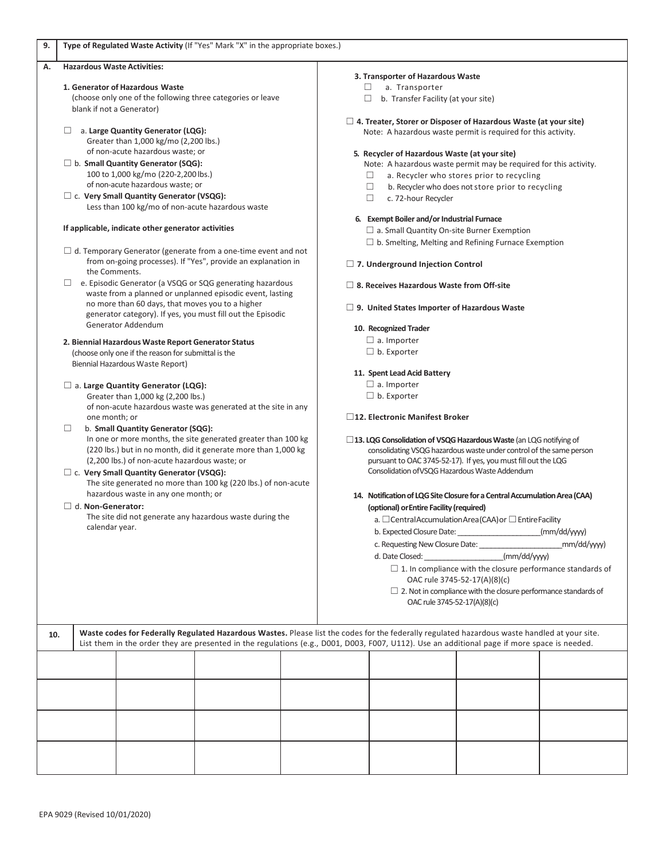| 9.                                                                                                                                                                               | Type of Regulated Waste Activity (If "Yes" Mark "X" in the appropriate boxes.)                                                                                                                                                                   |                                                                                                                                                                                                                                                                                               |  |                                                                                                                                          |                                                                                                                                                                                                                    |                    |  |  |  |  |
|----------------------------------------------------------------------------------------------------------------------------------------------------------------------------------|--------------------------------------------------------------------------------------------------------------------------------------------------------------------------------------------------------------------------------------------------|-----------------------------------------------------------------------------------------------------------------------------------------------------------------------------------------------------------------------------------------------------------------------------------------------|--|------------------------------------------------------------------------------------------------------------------------------------------|--------------------------------------------------------------------------------------------------------------------------------------------------------------------------------------------------------------------|--------------------|--|--|--|--|
| А.                                                                                                                                                                               |                                                                                                                                                                                                                                                  | <b>Hazardous Waste Activities:</b>                                                                                                                                                                                                                                                            |  |                                                                                                                                          |                                                                                                                                                                                                                    |                    |  |  |  |  |
|                                                                                                                                                                                  | 1. Generator of Hazardous Waste<br>(choose only one of the following three categories or leave                                                                                                                                                   |                                                                                                                                                                                                                                                                                               |  |                                                                                                                                          | 3. Transporter of Hazardous Waste<br>a. Transporter<br>□                                                                                                                                                           |                    |  |  |  |  |
|                                                                                                                                                                                  | blank if not a Generator)                                                                                                                                                                                                                        |                                                                                                                                                                                                                                                                                               |  |                                                                                                                                          | $\Box$<br>b. Transfer Facility (at your site)                                                                                                                                                                      |                    |  |  |  |  |
|                                                                                                                                                                                  | a. Large Quantity Generator (LQG):<br>$\Box$                                                                                                                                                                                                     |                                                                                                                                                                                                                                                                                               |  | $\Box$ 4. Treater, Storer or Disposer of Hazardous Waste (at your site)<br>Note: A hazardous waste permit is required for this activity. |                                                                                                                                                                                                                    |                    |  |  |  |  |
|                                                                                                                                                                                  |                                                                                                                                                                                                                                                  | Greater than 1,000 kg/mo (2,200 lbs.)                                                                                                                                                                                                                                                         |  |                                                                                                                                          |                                                                                                                                                                                                                    |                    |  |  |  |  |
|                                                                                                                                                                                  | of non-acute hazardous waste; or<br>$\Box$ b. Small Quantity Generator (SQG):<br>100 to 1,000 kg/mo (220-2,200 lbs.)                                                                                                                             |                                                                                                                                                                                                                                                                                               |  |                                                                                                                                          | 5. Recycler of Hazardous Waste (at your site)<br>Note: A hazardous waste permit may be required for this activity.<br>a. Recycler who stores prior to recycling<br>$\Box$                                          |                    |  |  |  |  |
|                                                                                                                                                                                  | of non-acute hazardous waste; or<br>□ c. Very Small Quantity Generator (VSQG):                                                                                                                                                                   |                                                                                                                                                                                                                                                                                               |  |                                                                                                                                          | b. Recycler who does not store prior to recycling<br>□<br>□<br>c. 72-hour Recycler                                                                                                                                 |                    |  |  |  |  |
|                                                                                                                                                                                  | Less than 100 kg/mo of non-acute hazardous waste                                                                                                                                                                                                 |                                                                                                                                                                                                                                                                                               |  |                                                                                                                                          |                                                                                                                                                                                                                    |                    |  |  |  |  |
|                                                                                                                                                                                  | If applicable, indicate other generator activities                                                                                                                                                                                               |                                                                                                                                                                                                                                                                                               |  |                                                                                                                                          | 6. Exempt Boiler and/or Industrial Furnace<br>$\Box$ a. Small Quantity On-site Burner Exemption                                                                                                                    |                    |  |  |  |  |
|                                                                                                                                                                                  |                                                                                                                                                                                                                                                  |                                                                                                                                                                                                                                                                                               |  |                                                                                                                                          | $\Box$ b. Smelting, Melting and Refining Furnace Exemption                                                                                                                                                         |                    |  |  |  |  |
|                                                                                                                                                                                  | $\Box$ d. Temporary Generator (generate from a one-time event and not<br>from on-going processes). If "Yes", provide an explanation in<br>the Comments.                                                                                          |                                                                                                                                                                                                                                                                                               |  |                                                                                                                                          |                                                                                                                                                                                                                    |                    |  |  |  |  |
|                                                                                                                                                                                  |                                                                                                                                                                                                                                                  |                                                                                                                                                                                                                                                                                               |  |                                                                                                                                          | $\Box$ 7. Underground Injection Control                                                                                                                                                                            |                    |  |  |  |  |
|                                                                                                                                                                                  | $\Box$ e. Episodic Generator (a VSQG or SQG generating hazardous<br>waste from a planned or unplanned episodic event, lasting<br>no more than 60 days, that moves you to a higher<br>generator category). If yes, you must fill out the Episodic |                                                                                                                                                                                                                                                                                               |  | $\Box$ 8. Receives Hazardous Waste from Off-site                                                                                         |                                                                                                                                                                                                                    |                    |  |  |  |  |
|                                                                                                                                                                                  |                                                                                                                                                                                                                                                  |                                                                                                                                                                                                                                                                                               |  | $\Box$ 9. United States Importer of Hazardous Waste                                                                                      |                                                                                                                                                                                                                    |                    |  |  |  |  |
|                                                                                                                                                                                  | Generator Addendum                                                                                                                                                                                                                               |                                                                                                                                                                                                                                                                                               |  |                                                                                                                                          | 10. Recognized Trader                                                                                                                                                                                              |                    |  |  |  |  |
|                                                                                                                                                                                  | 2. Biennial Hazardous Waste Report Generator Status                                                                                                                                                                                              |                                                                                                                                                                                                                                                                                               |  |                                                                                                                                          |                                                                                                                                                                                                                    | $\Box$ a. Importer |  |  |  |  |
|                                                                                                                                                                                  | (choose only one if the reason for submittal is the<br>Biennial Hazardous Waste Report)                                                                                                                                                          |                                                                                                                                                                                                                                                                                               |  |                                                                                                                                          |                                                                                                                                                                                                                    | $\Box$ b. Exporter |  |  |  |  |
|                                                                                                                                                                                  |                                                                                                                                                                                                                                                  |                                                                                                                                                                                                                                                                                               |  |                                                                                                                                          | 11. Spent Lead Acid Battery                                                                                                                                                                                        |                    |  |  |  |  |
|                                                                                                                                                                                  | $\Box$ a. Large Quantity Generator (LQG):                                                                                                                                                                                                        |                                                                                                                                                                                                                                                                                               |  |                                                                                                                                          | $\Box$ a. Importer                                                                                                                                                                                                 |                    |  |  |  |  |
|                                                                                                                                                                                  |                                                                                                                                                                                                                                                  | Greater than 1,000 kg (2,200 lbs.)                                                                                                                                                                                                                                                            |  |                                                                                                                                          | $\Box$ b. Exporter                                                                                                                                                                                                 |                    |  |  |  |  |
|                                                                                                                                                                                  | of non-acute hazardous waste was generated at the site in any<br>one month; or<br>b. Small Quantity Generator (SQG):<br>$\Box$                                                                                                                   |                                                                                                                                                                                                                                                                                               |  |                                                                                                                                          | □12. Electronic Manifest Broker                                                                                                                                                                                    |                    |  |  |  |  |
|                                                                                                                                                                                  |                                                                                                                                                                                                                                                  |                                                                                                                                                                                                                                                                                               |  |                                                                                                                                          |                                                                                                                                                                                                                    |                    |  |  |  |  |
| In one or more months, the site generated greater than 100 kg<br>(220 lbs.) but in no month, did it generate more than 1,000 kg<br>(2,200 lbs.) of non-acute hazardous waste; or |                                                                                                                                                                                                                                                  |                                                                                                                                                                                                                                                                                               |  |                                                                                                                                          | $\Box$ 13. LQG Consolidation of VSQG Hazardous Waste (an LQG notifying of<br>consolidating VSQG hazardous waste under control of the same person<br>pursuant to OAC 3745-52-17). If yes, you must fill out the LQG |                    |  |  |  |  |
|                                                                                                                                                                                  | $\Box$ c. Very Small Quantity Generator (VSQG):                                                                                                                                                                                                  |                                                                                                                                                                                                                                                                                               |  |                                                                                                                                          | Consolidation of VSQG Hazardous Waste Addendum                                                                                                                                                                     |                    |  |  |  |  |
|                                                                                                                                                                                  | The site generated no more than 100 kg (220 lbs.) of non-acute                                                                                                                                                                                   |                                                                                                                                                                                                                                                                                               |  |                                                                                                                                          |                                                                                                                                                                                                                    |                    |  |  |  |  |
| hazardous waste in any one month; or<br>$\Box$ d. Non-Generator:                                                                                                                 |                                                                                                                                                                                                                                                  |                                                                                                                                                                                                                                                                                               |  |                                                                                                                                          | 14. Notification of LQG Site Closure for a Central Accumulation Area (CAA)<br>(optional) or Entire Facility (required)                                                                                             |                    |  |  |  |  |
| The site did not generate any hazardous waste during the                                                                                                                         |                                                                                                                                                                                                                                                  |                                                                                                                                                                                                                                                                                               |  | a. $\Box$ Central Accumulation Area (CAA) or $\Box$ Entire Facility                                                                      |                                                                                                                                                                                                                    |                    |  |  |  |  |
|                                                                                                                                                                                  | calendar year.                                                                                                                                                                                                                                   |                                                                                                                                                                                                                                                                                               |  | (mm/dd/yyyy)                                                                                                                             |                                                                                                                                                                                                                    |                    |  |  |  |  |
|                                                                                                                                                                                  |                                                                                                                                                                                                                                                  |                                                                                                                                                                                                                                                                                               |  | c. Requesting New Closure Date:<br>mm/dd/yyyy)                                                                                           |                                                                                                                                                                                                                    |                    |  |  |  |  |
|                                                                                                                                                                                  |                                                                                                                                                                                                                                                  |                                                                                                                                                                                                                                                                                               |  | (mm/dd/yyy)<br>d. Date Closed:                                                                                                           |                                                                                                                                                                                                                    |                    |  |  |  |  |
|                                                                                                                                                                                  |                                                                                                                                                                                                                                                  |                                                                                                                                                                                                                                                                                               |  | $\Box$ 1. In compliance with the closure performance standards of<br>OAC rule 3745-52-17(A)(8)(c)                                        |                                                                                                                                                                                                                    |                    |  |  |  |  |
|                                                                                                                                                                                  |                                                                                                                                                                                                                                                  |                                                                                                                                                                                                                                                                                               |  | $\Box$ 2. Not in compliance with the closure performance standards of                                                                    |                                                                                                                                                                                                                    |                    |  |  |  |  |
|                                                                                                                                                                                  |                                                                                                                                                                                                                                                  |                                                                                                                                                                                                                                                                                               |  |                                                                                                                                          | OAC rule 3745-52-17(A)(8)(c)                                                                                                                                                                                       |                    |  |  |  |  |
|                                                                                                                                                                                  |                                                                                                                                                                                                                                                  |                                                                                                                                                                                                                                                                                               |  |                                                                                                                                          |                                                                                                                                                                                                                    |                    |  |  |  |  |
| 10.                                                                                                                                                                              |                                                                                                                                                                                                                                                  | Waste codes for Federally Regulated Hazardous Wastes. Please list the codes for the federally regulated hazardous waste handled at your site.<br>List them in the order they are presented in the regulations (e.g., D001, D003, F007, U112). Use an additional page if more space is needed. |  |                                                                                                                                          |                                                                                                                                                                                                                    |                    |  |  |  |  |
|                                                                                                                                                                                  |                                                                                                                                                                                                                                                  |                                                                                                                                                                                                                                                                                               |  |                                                                                                                                          |                                                                                                                                                                                                                    |                    |  |  |  |  |
|                                                                                                                                                                                  |                                                                                                                                                                                                                                                  |                                                                                                                                                                                                                                                                                               |  |                                                                                                                                          |                                                                                                                                                                                                                    |                    |  |  |  |  |
|                                                                                                                                                                                  |                                                                                                                                                                                                                                                  |                                                                                                                                                                                                                                                                                               |  |                                                                                                                                          |                                                                                                                                                                                                                    |                    |  |  |  |  |
|                                                                                                                                                                                  |                                                                                                                                                                                                                                                  |                                                                                                                                                                                                                                                                                               |  |                                                                                                                                          |                                                                                                                                                                                                                    |                    |  |  |  |  |
|                                                                                                                                                                                  |                                                                                                                                                                                                                                                  |                                                                                                                                                                                                                                                                                               |  |                                                                                                                                          |                                                                                                                                                                                                                    |                    |  |  |  |  |
|                                                                                                                                                                                  |                                                                                                                                                                                                                                                  |                                                                                                                                                                                                                                                                                               |  |                                                                                                                                          |                                                                                                                                                                                                                    |                    |  |  |  |  |